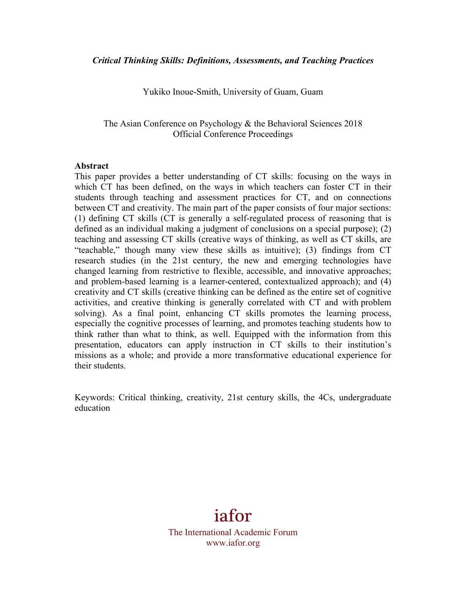Yukiko Inoue-Smith, University of Guam, Guam

The Asian Conference on Psychology & the Behavioral Sciences 2018 Official Conference Proceedings

#### **Abstract**

This paper provides a better understanding of CT skills: focusing on the ways in which CT has been defined, on the ways in which teachers can foster CT in their students through teaching and assessment practices for CT, and on connections between CT and creativity. The main part of the paper consists of four major sections: (1) defining CT skills (CT is generally a self-regulated process of reasoning that is defined as an individual making a judgment of conclusions on a special purpose); (2) teaching and assessing CT skills (creative ways of thinking, as well as CT skills, are "teachable," though many view these skills as intuitive); (3) findings from CT research studies (in the 21st century, the new and emerging technologies have changed learning from restrictive to flexible, accessible, and innovative approaches; and problem-based learning is a learner-centered, contextualized approach); and (4) creativity and CT skills (creative thinking can be defined as the entire set of cognitive activities, and creative thinking is generally correlated with CT and with problem solving). As a final point, enhancing CT skills promotes the learning process, especially the cognitive processes of learning, and promotes teaching students how to think rather than what to think, as well. Equipped with the information from this presentation, educators can apply instruction in CT skills to their institution's missions as a whole; and provide a more transformative educational experience for their students.

Keywords: Critical thinking, creativity, 21st century skills, the 4Cs, undergraduate education

> iafor The International Academic Forum www.iafor.org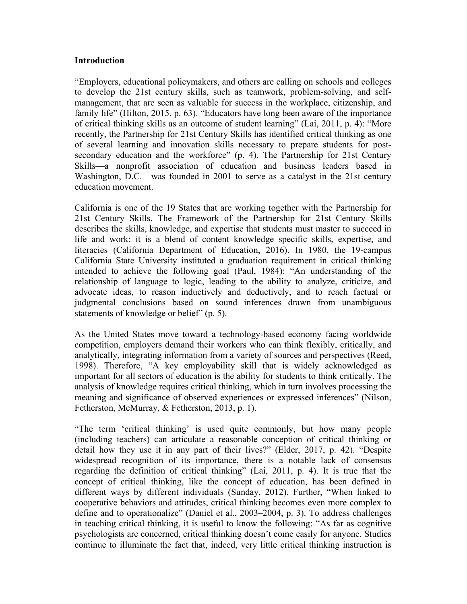#### **Introduction**

"Employers, educational policymakers, and others are calling on schools and colleges to develop the 21st century skills, such as teamwork, problem-solving, and selfmanagement, that are seen as valuable for success in the workplace, citizenship, and family life" (Hilton, 2015, p. 63). "Educators have long been aware of the importance of critical thinking skills as an outcome of student learning" (Lai, 2011, p. 4): "More recently, the Partnership for 21st Century Skills has identified critical thinking as one of several learning and innovation skills necessary to prepare students for postsecondary education and the workforce" (p. 4). The Partnership for 21st Century Skills—a nonprofit association of education and business leaders based in Washington, D.C.—was founded in 2001 to serve as a catalyst in the 21st century education movement.

California is one of the 19 States that are working together with the Partnership for 21st Century Skills. The Framework of the Partnership for 21st Century Skills describes the skills, knowledge, and expertise that students must master to succeed in life and work: it is a blend of content knowledge specific skills, expertise, and literacies (California Department of Education, 2016). In 1980, the 19-campus California State University instituted a graduation requirement in critical thinking intended to achieve the following goal (Paul, 1984): "An understanding of the relationship of language to logic, leading to the ability to analyze, criticize, and advocate ideas, to reason inductively and deductively, and to reach factual or judgmental conclusions based on sound inferences drawn from unambiguous statements of knowledge or belief" (p. 5).

As the United States move toward a technology-based economy facing worldwide competition, employers demand their workers who can think flexibly, critically, and analytically, integrating information from a variety of sources and perspectives (Reed, 1998). Therefore, "A key employability skill that is widely acknowledged as important for all sectors of education is the ability for students to think critically. The analysis of knowledge requires critical thinking, which in turn involves processing the meaning and significance of observed experiences or expressed inferences" (Nilson, Fetherston, McMurray, & Fetherston, 2013, p. 1).

"The term 'critical thinking' is used quite commonly, but how many people (including teachers) can articulate a reasonable conception of critical thinking or detail how they use it in any part of their lives?" (Elder, 2017, p. 42). "Despite widespread recognition of its importance, there is a notable lack of consensus regarding the definition of critical thinking" (Lai, 2011, p. 4). It is true that the concept of critical thinking, like the concept of education, has been defined in different ways by different individuals (Sunday, 2012). Further, "When linked to cooperative behaviors and attitudes, critical thinking becomes even more complex to define and to operationalize" (Daniel et al., 2003–2004, p. 3). To address challenges in teaching critical thinking, it is useful to know the following: "As far as cognitive psychologists are concerned, critical thinking doesn't come easily for anyone. Studies continue to illuminate the fact that, indeed, very little critical thinking instruction is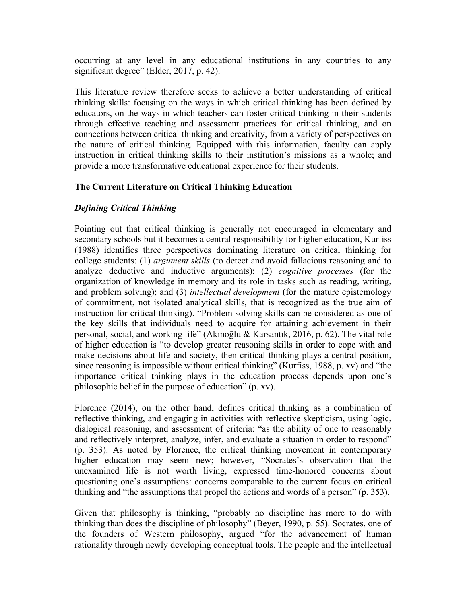occurring at any level in any educational institutions in any countries to any significant degree" (Elder, 2017, p. 42).

This literature review therefore seeks to achieve a better understanding of critical thinking skills: focusing on the ways in which critical thinking has been defined by educators, on the ways in which teachers can foster critical thinking in their students through effective teaching and assessment practices for critical thinking, and on connections between critical thinking and creativity, from a variety of perspectives on the nature of critical thinking. Equipped with this information, faculty can apply instruction in critical thinking skills to their institution's missions as a whole; and provide a more transformative educational experience for their students.

## **The Current Literature on Critical Thinking Education**

# *Defining Critical Thinking*

Pointing out that critical thinking is generally not encouraged in elementary and secondary schools but it becomes a central responsibility for higher education, Kurfiss (1988) identifies three perspectives dominating literature on critical thinking for college students: (1) *argument skills* (to detect and avoid fallacious reasoning and to analyze deductive and inductive arguments); (2) *cognitive processes* (for the organization of knowledge in memory and its role in tasks such as reading, writing, and problem solving); and (3) *intellectual development* (for the mature epistemology of commitment, not isolated analytical skills, that is recognized as the true aim of instruction for critical thinking). "Problem solving skills can be considered as one of the key skills that individuals need to acquire for attaining achievement in their personal, social, and working life" (Akınoğlu & Karsantık, 2016, p. 62). The vital role of higher education is "to develop greater reasoning skills in order to cope with and make decisions about life and society, then critical thinking plays a central position, since reasoning is impossible without critical thinking" (Kurfiss, 1988, p. xv) and "the importance critical thinking plays in the education process depends upon one's philosophic belief in the purpose of education" (p. xv).

Florence (2014), on the other hand, defines critical thinking as a combination of reflective thinking, and engaging in activities with reflective skepticism, using logic, dialogical reasoning, and assessment of criteria: "as the ability of one to reasonably and reflectively interpret, analyze, infer, and evaluate a situation in order to respond" (p. 353). As noted by Florence, the critical thinking movement in contemporary higher education may seem new; however, "Socrates's observation that the unexamined life is not worth living, expressed time-honored concerns about questioning one's assumptions: concerns comparable to the current focus on critical thinking and "the assumptions that propel the actions and words of a person" (p. 353).

Given that philosophy is thinking, "probably no discipline has more to do with thinking than does the discipline of philosophy" (Beyer, 1990, p. 55). Socrates, one of the founders of Western philosophy, argued "for the advancement of human rationality through newly developing conceptual tools. The people and the intellectual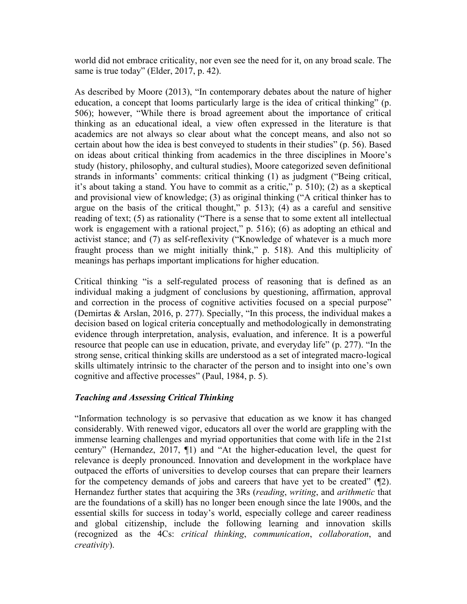world did not embrace criticality, nor even see the need for it, on any broad scale. The same is true today" (Elder, 2017, p. 42).

As described by Moore (2013), "In contemporary debates about the nature of higher education, a concept that looms particularly large is the idea of critical thinking" (p. 506); however, "While there is broad agreement about the importance of critical thinking as an educational ideal, a view often expressed in the literature is that academics are not always so clear about what the concept means, and also not so certain about how the idea is best conveyed to students in their studies" (p. 56). Based on ideas about critical thinking from academics in the three disciplines in Moore's study (history, philosophy, and cultural studies), Moore categorized seven definitional strands in informants' comments: critical thinking (1) as judgment ("Being critical, it's about taking a stand. You have to commit as a critic," p. 510); (2) as a skeptical and provisional view of knowledge; (3) as original thinking ("A critical thinker has to argue on the basis of the critical thought," p. 513); (4) as a careful and sensitive reading of text; (5) as rationality ("There is a sense that to some extent all intellectual work is engagement with a rational project," p. 516); (6) as adopting an ethical and activist stance; and (7) as self-reflexivity ("Knowledge of whatever is a much more fraught process than we might initially think," p. 518). And this multiplicity of meanings has perhaps important implications for higher education.

Critical thinking "is a self-regulated process of reasoning that is defined as an individual making a judgment of conclusions by questioning, affirmation, approval and correction in the process of cognitive activities focused on a special purpose" (Demirtas & Arslan, 2016, p. 277). Specially, "In this process, the individual makes a decision based on logical criteria conceptually and methodologically in demonstrating evidence through interpretation, analysis, evaluation, and inference. It is a powerful resource that people can use in education, private, and everyday life" (p. 277). "In the strong sense, critical thinking skills are understood as a set of integrated macro-logical skills ultimately intrinsic to the character of the person and to insight into one's own cognitive and affective processes" (Paul, 1984, p. 5).

## *Teaching and Assessing Critical Thinking*

"Information technology is so pervasive that education as we know it has changed considerably. With renewed vigor, educators all over the world are grappling with the immense learning challenges and myriad opportunities that come with life in the 21st century" (Hernandez, 2017, ¶1) and "At the higher-education level, the quest for relevance is deeply pronounced. Innovation and development in the workplace have outpaced the efforts of universities to develop courses that can prepare their learners for the competency demands of jobs and careers that have yet to be created" (¶2). Hernandez further states that acquiring the 3Rs (*reading*, *writing*, and *arithmetic* that are the foundations of a skill) has no longer been enough since the late 1900s, and the essential skills for success in today's world, especially college and career readiness and global citizenship, include the following learning and innovation skills (recognized as the 4Cs: *critical thinking*, *communication*, *collaboration*, and *creativity*).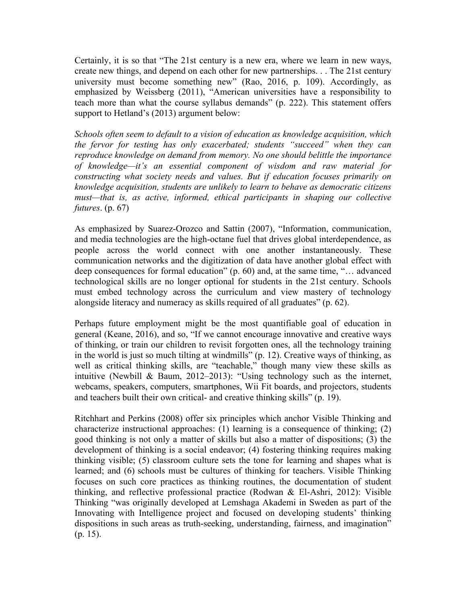Certainly, it is so that "The 21st century is a new era, where we learn in new ways, create new things, and depend on each other for new partnerships. . . The 21st century university must become something new" (Rao, 2016, p. 109). Accordingly, as emphasized by Weissberg (2011), "American universities have a responsibility to teach more than what the course syllabus demands" (p. 222). This statement offers support to Hetland's (2013) argument below:

*Schools often seem to default to a vision of education as knowledge acquisition, which the fervor for testing has only exacerbated; students "succeed" when they can reproduce knowledge on demand from memory. No one should belittle the importance of knowledge—it's an essential component of wisdom and raw material for constructing what society needs and values. But if education focuses primarily on knowledge acquisition, students are unlikely to learn to behave as democratic citizens must—that is, as active, informed, ethical participants in shaping our collective futures*. (p. 67)

As emphasized by Suarez-Orozco and Sattin (2007), "Information, communication, and media technologies are the high-octane fuel that drives global interdependence, as people across the world connect with one another instantaneously. These communication networks and the digitization of data have another global effect with deep consequences for formal education" (p. 60) and, at the same time, "… advanced technological skills are no longer optional for students in the 21st century. Schools must embed technology across the curriculum and view mastery of technology alongside literacy and numeracy as skills required of all graduates" (p. 62).

Perhaps future employment might be the most quantifiable goal of education in general (Keane, 2016), and so, "If we cannot encourage innovative and creative ways of thinking, or train our children to revisit forgotten ones, all the technology training in the world is just so much tilting at windmills" (p. 12). Creative ways of thinking, as well as critical thinking skills, are "teachable," though many view these skills as intuitive (Newbill & Baum, 2012–2013): "Using technology such as the internet, webcams, speakers, computers, smartphones, Wii Fit boards, and projectors, students and teachers built their own critical- and creative thinking skills" (p. 19).

Ritchhart and Perkins (2008) offer six principles which anchor Visible Thinking and characterize instructional approaches: (1) learning is a consequence of thinking; (2) good thinking is not only a matter of skills but also a matter of dispositions; (3) the development of thinking is a social endeavor; (4) fostering thinking requires making thinking visible; (5) classroom culture sets the tone for learning and shapes what is learned; and (6) schools must be cultures of thinking for teachers. Visible Thinking focuses on such core practices as thinking routines, the documentation of student thinking, and reflective professional practice (Rodwan & El-Ashri, 2012): Visible Thinking "was originally developed at Lemshaga Akademi in Sweden as part of the Innovating with Intelligence project and focused on developing students' thinking dispositions in such areas as truth-seeking, understanding, fairness, and imagination" (p. 15).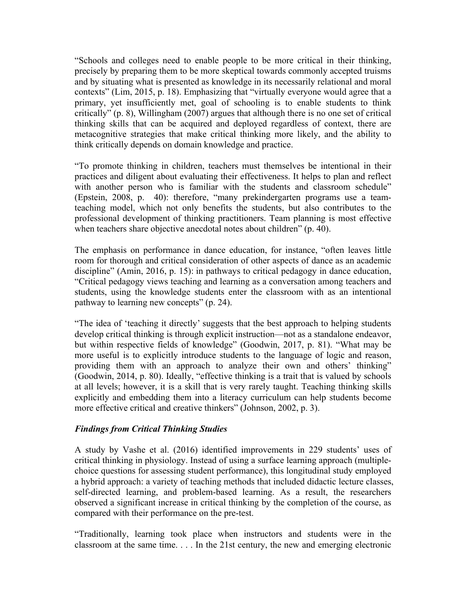"Schools and colleges need to enable people to be more critical in their thinking, precisely by preparing them to be more skeptical towards commonly accepted truisms and by situating what is presented as knowledge in its necessarily relational and moral contexts" (Lim, 2015, p. 18). Emphasizing that "virtually everyone would agree that a primary, yet insufficiently met, goal of schooling is to enable students to think critically" (p. 8), Willingham (2007) argues that although there is no one set of critical thinking skills that can be acquired and deployed regardless of context, there are metacognitive strategies that make critical thinking more likely, and the ability to think critically depends on domain knowledge and practice.

"To promote thinking in children, teachers must themselves be intentional in their practices and diligent about evaluating their effectiveness. It helps to plan and reflect with another person who is familiar with the students and classroom schedule" (Epstein, 2008, p. 40): therefore, "many prekindergarten programs use a teamteaching model, which not only benefits the students, but also contributes to the professional development of thinking practitioners. Team planning is most effective when teachers share objective anecdotal notes about children" (p. 40).

The emphasis on performance in dance education, for instance, "often leaves little room for thorough and critical consideration of other aspects of dance as an academic discipline" (Amin, 2016, p. 15): in pathways to critical pedagogy in dance education, "Critical pedagogy views teaching and learning as a conversation among teachers and students, using the knowledge students enter the classroom with as an intentional pathway to learning new concepts" (p. 24).

"The idea of 'teaching it directly' suggests that the best approach to helping students develop critical thinking is through explicit instruction—not as a standalone endeavor, but within respective fields of knowledge" (Goodwin, 2017, p. 81). "What may be more useful is to explicitly introduce students to the language of logic and reason, providing them with an approach to analyze their own and others' thinking" (Goodwin, 2014, p. 80). Ideally, "effective thinking is a trait that is valued by schools at all levels; however, it is a skill that is very rarely taught. Teaching thinking skills explicitly and embedding them into a literacy curriculum can help students become more effective critical and creative thinkers" (Johnson, 2002, p. 3).

## *Findings from Critical Thinking Studies*

A study by Vashe et al. (2016) identified improvements in 229 students' uses of critical thinking in physiology. Instead of using a surface learning approach (multiplechoice questions for assessing student performance), this longitudinal study employed a hybrid approach: a variety of teaching methods that included didactic lecture classes, self-directed learning, and problem-based learning. As a result, the researchers observed a significant increase in critical thinking by the completion of the course, as compared with their performance on the pre-test.

"Traditionally, learning took place when instructors and students were in the classroom at the same time. . . . In the 21st century, the new and emerging electronic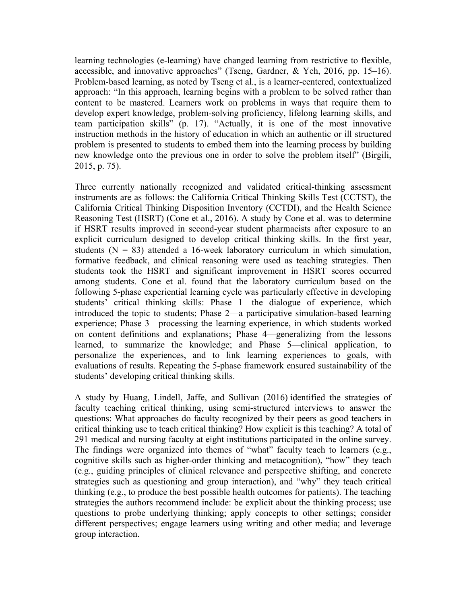learning technologies (e-learning) have changed learning from restrictive to flexible, accessible, and innovative approaches" (Tseng, Gardner, & Yeh, 2016, pp. 15–16). Problem-based learning, as noted by Tseng et al., is a learner-centered, contextualized approach: "In this approach, learning begins with a problem to be solved rather than content to be mastered. Learners work on problems in ways that require them to develop expert knowledge, problem-solving proficiency, lifelong learning skills, and team participation skills" (p. 17). "Actually, it is one of the most innovative instruction methods in the history of education in which an authentic or ill structured problem is presented to students to embed them into the learning process by building new knowledge onto the previous one in order to solve the problem itself" (Birgili, 2015, p. 75).

Three currently nationally recognized and validated critical-thinking assessment instruments are as follows: the California Critical Thinking Skills Test (CCTST), the California Critical Thinking Disposition Inventory (CCTDI), and the Health Science Reasoning Test (HSRT) (Cone et al., 2016). A study by Cone et al. was to determine if HSRT results improved in second-year student pharmacists after exposure to an explicit curriculum designed to develop critical thinking skills. In the first year, students  $(N = 83)$  attended a 16-week laboratory curriculum in which simulation, formative feedback, and clinical reasoning were used as teaching strategies. Then students took the HSRT and significant improvement in HSRT scores occurred among students. Cone et al. found that the laboratory curriculum based on the following 5-phase experiential learning cycle was particularly effective in developing students' critical thinking skills: Phase 1—the dialogue of experience, which introduced the topic to students; Phase 2—a participative simulation-based learning experience; Phase 3—processing the learning experience, in which students worked on content definitions and explanations; Phase 4—generalizing from the lessons learned, to summarize the knowledge; and Phase 5—clinical application, to personalize the experiences, and to link learning experiences to goals, with evaluations of results. Repeating the 5-phase framework ensured sustainability of the students' developing critical thinking skills.

A study by Huang, Lindell, Jaffe, and Sullivan (2016) identified the strategies of faculty teaching critical thinking, using semi-structured interviews to answer the questions: What approaches do faculty recognized by their peers as good teachers in critical thinking use to teach critical thinking? How explicit is this teaching? A total of 291 medical and nursing faculty at eight institutions participated in the online survey. The findings were organized into themes of "what" faculty teach to learners (e.g., cognitive skills such as higher-order thinking and metacognition), "how" they teach (e.g., guiding principles of clinical relevance and perspective shifting, and concrete strategies such as questioning and group interaction), and "why" they teach critical thinking (e.g., to produce the best possible health outcomes for patients). The teaching strategies the authors recommend include: be explicit about the thinking process; use questions to probe underlying thinking; apply concepts to other settings; consider different perspectives; engage learners using writing and other media; and leverage group interaction.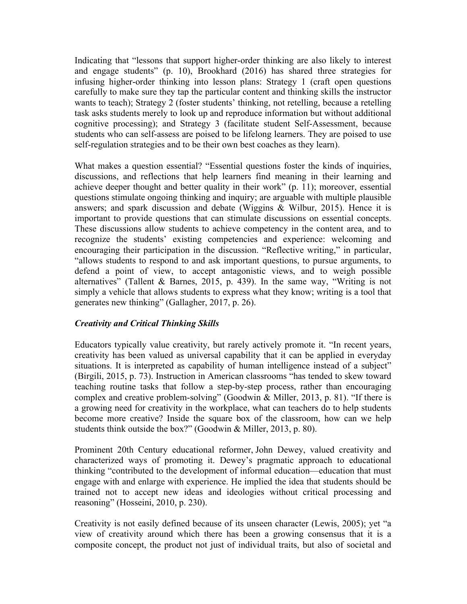Indicating that "lessons that support higher-order thinking are also likely to interest and engage students" (p. 10), Brookhard (2016) has shared three strategies for infusing higher-order thinking into lesson plans: Strategy 1 (craft open questions carefully to make sure they tap the particular content and thinking skills the instructor wants to teach); Strategy 2 (foster students' thinking, not retelling, because a retelling task asks students merely to look up and reproduce information but without additional cognitive processing); and Strategy 3 (facilitate student Self-Assessment, because students who can self-assess are poised to be lifelong learners. They are poised to use self-regulation strategies and to be their own best coaches as they learn).

What makes a question essential? "Essential questions foster the kinds of inquiries, discussions, and reflections that help learners find meaning in their learning and achieve deeper thought and better quality in their work" (p. 11); moreover, essential questions stimulate ongoing thinking and inquiry; are arguable with multiple plausible answers; and spark discussion and debate (Wiggins & Wilbur, 2015). Hence it is important to provide questions that can stimulate discussions on essential concepts. These discussions allow students to achieve competency in the content area, and to recognize the students' existing competencies and experience: welcoming and encouraging their participation in the discussion. "Reflective writing," in particular, "allows students to respond to and ask important questions, to pursue arguments, to defend a point of view, to accept antagonistic views, and to weigh possible alternatives" (Tallent & Barnes, 2015, p. 439). In the same way, "Writing is not simply a vehicle that allows students to express what they know; writing is a tool that generates new thinking" (Gallagher, 2017, p. 26).

## *Creativity and Critical Thinking Skills*

Educators typically value creativity, but rarely actively promote it. "In recent years, creativity has been valued as universal capability that it can be applied in everyday situations. It is interpreted as capability of human intelligence instead of a subject" (Birgili, 2015, p. 73). Instruction in American classrooms "has tended to skew toward teaching routine tasks that follow a step-by-step process, rather than encouraging complex and creative problem-solving" (Goodwin & Miller, 2013, p. 81). "If there is a growing need for creativity in the workplace, what can teachers do to help students become more creative? Inside the square box of the classroom, how can we help students think outside the box?" (Goodwin & Miller, 2013, p. 80).

Prominent 20th Century educational reformer, John Dewey, valued creativity and characterized ways of promoting it. Dewey's pragmatic approach to educational thinking "contributed to the development of informal education—education that must engage with and enlarge with experience. He implied the idea that students should be trained not to accept new ideas and ideologies without critical processing and reasoning" (Hosseini, 2010, p. 230).

Creativity is not easily defined because of its unseen character (Lewis, 2005); yet "a view of creativity around which there has been a growing consensus that it is a composite concept, the product not just of individual traits, but also of societal and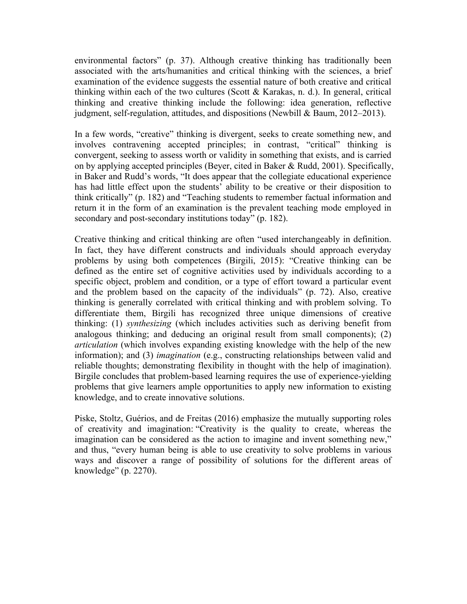environmental factors" (p. 37). Although creative thinking has traditionally been associated with the arts/humanities and critical thinking with the sciences, a brief examination of the evidence suggests the essential nature of both creative and critical thinking within each of the two cultures (Scott  $\&$  Karakas, n. d.). In general, critical thinking and creative thinking include the following: idea generation, reflective judgment, self-regulation, attitudes, and dispositions (Newbill & Baum, 2012–2013).

In a few words, "creative" thinking is divergent, seeks to create something new, and involves contravening accepted principles; in contrast, "critical" thinking is convergent, seeking to assess worth or validity in something that exists, and is carried on by applying accepted principles (Beyer, cited in Baker  $\&$  Rudd, 2001). Specifically, in Baker and Rudd's words, "It does appear that the collegiate educational experience has had little effect upon the students' ability to be creative or their disposition to think critically" (p. 182) and "Teaching students to remember factual information and return it in the form of an examination is the prevalent teaching mode employed in secondary and post-secondary institutions today" (p. 182).

Creative thinking and critical thinking are often "used interchangeably in definition. In fact, they have different constructs and individuals should approach everyday problems by using both competences (Birgili, 2015): "Creative thinking can be defined as the entire set of cognitive activities used by individuals according to a specific object, problem and condition, or a type of effort toward a particular event and the problem based on the capacity of the individuals" (p. 72). Also, creative thinking is generally correlated with critical thinking and with problem solving. To differentiate them, Birgili has recognized three unique dimensions of creative thinking: (1) *synthesizing* (which includes activities such as deriving benefit from analogous thinking; and deducing an original result from small components); (2) *articulation* (which involves expanding existing knowledge with the help of the new information); and (3) *imagination* (e.g., constructing relationships between valid and reliable thoughts; demonstrating flexibility in thought with the help of imagination). Birgile concludes that problem-based learning requires the use of experience-yielding problems that give learners ample opportunities to apply new information to existing knowledge, and to create innovative solutions.

Piske, Stoltz, Guérios, and de Freitas (2016) emphasize the mutually supporting roles of creativity and imagination: "Creativity is the quality to create, whereas the imagination can be considered as the action to imagine and invent something new," and thus, "every human being is able to use creativity to solve problems in various ways and discover a range of possibility of solutions for the different areas of knowledge" (p. 2270).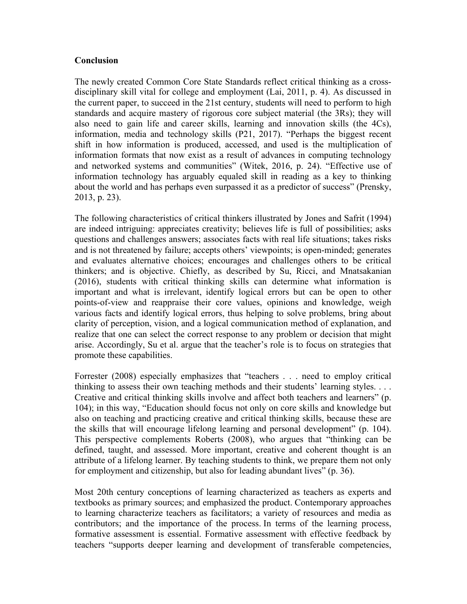#### **Conclusion**

The newly created Common Core State Standards reflect critical thinking as a crossdisciplinary skill vital for college and employment (Lai, 2011, p. 4). As discussed in the current paper, to succeed in the 21st century, students will need to perform to high standards and acquire mastery of rigorous core subject material (the 3Rs); they will also need to gain life and career skills, learning and innovation skills (the 4Cs), information, media and technology skills (P21, 2017). "Perhaps the biggest recent shift in how information is produced, accessed, and used is the multiplication of information formats that now exist as a result of advances in computing technology and networked systems and communities" (Witek, 2016, p. 24). "Effective use of information technology has arguably equaled skill in reading as a key to thinking about the world and has perhaps even surpassed it as a predictor of success" (Prensky, 2013, p. 23).

The following characteristics of critical thinkers illustrated by Jones and Safrit (1994) are indeed intriguing: appreciates creativity; believes life is full of possibilities; asks questions and challenges answers; associates facts with real life situations; takes risks and is not threatened by failure; accepts others' viewpoints; is open-minded; generates and evaluates alternative choices; encourages and challenges others to be critical thinkers; and is objective. Chiefly, as described by Su, Ricci, and Mnatsakanian (2016), students with critical thinking skills can determine what information is important and what is irrelevant, identify logical errors but can be open to other points-of-view and reappraise their core values, opinions and knowledge, weigh various facts and identify logical errors, thus helping to solve problems, bring about clarity of perception, vision, and a logical communication method of explanation, and realize that one can select the correct response to any problem or decision that might arise. Accordingly, Su et al. argue that the teacher's role is to focus on strategies that promote these capabilities.

Forrester (2008) especially emphasizes that "teachers . . . need to employ critical thinking to assess their own teaching methods and their students' learning styles. . . . Creative and critical thinking skills involve and affect both teachers and learners" (p. 104); in this way, "Education should focus not only on core skills and knowledge but also on teaching and practicing creative and critical thinking skills, because these are the skills that will encourage lifelong learning and personal development" (p. 104). This perspective complements Roberts (2008), who argues that "thinking can be defined, taught, and assessed. More important, creative and coherent thought is an attribute of a lifelong learner. By teaching students to think, we prepare them not only for employment and citizenship, but also for leading abundant lives" (p. 36).

Most 20th century conceptions of learning characterized as teachers as experts and textbooks as primary sources; and emphasized the product. Contemporary approaches to learning characterize teachers as facilitators; a variety of resources and media as contributors; and the importance of the process. In terms of the learning process, formative assessment is essential. Formative assessment with effective feedback by teachers "supports deeper learning and development of transferable competencies,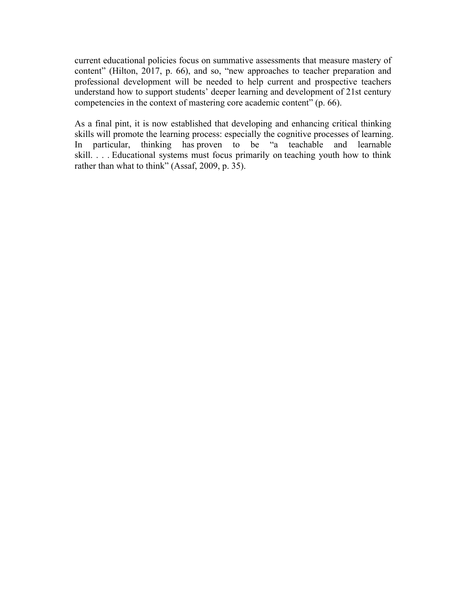current educational policies focus on summative assessments that measure mastery of content" (Hilton, 2017, p. 66), and so, "new approaches to teacher preparation and professional development will be needed to help current and prospective teachers understand how to support students' deeper learning and development of 21st century competencies in the context of mastering core academic content" (p. 66).

As a final pint, it is now established that developing and enhancing critical thinking skills will promote the learning process: especially the cognitive processes of learning. In particular, thinking has proven to be "a teachable and learnable skill. . . . Educational systems must focus primarily on teaching youth how to think rather than what to think" (Assaf, 2009, p. 35).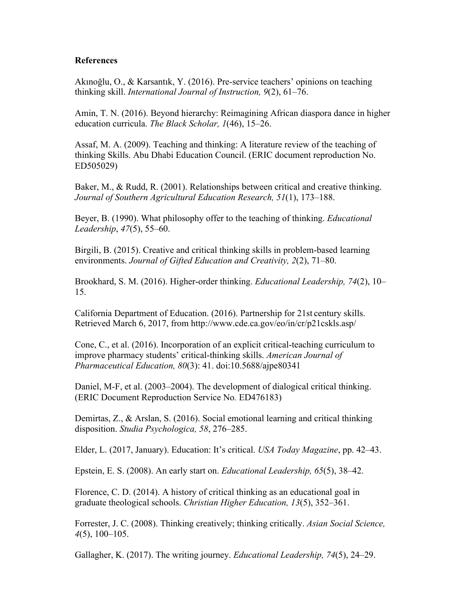#### **References**

Akınoğlu, O., & Karsantık, Y. (2016). Pre-service teachers' opinions on teaching thinking skill. *International Journal of Instruction, 9*(2), 61–76.

Amin, T. N. (2016). Beyond hierarchy: Reimagining African diaspora dance in higher education curricula. *The Black Scholar, 1*(46), 15–26.

Assaf, M. A. (2009). Teaching and thinking: A literature review of the teaching of thinking Skills. Abu Dhabi Education Council. (ERIC document reproduction No. ED505029)

Baker, M., & Rudd, R. (2001). Relationships between critical and creative thinking. *Journal of Southern Agricultural Education Research, 51*(1), 173–188.

Beyer, B. (1990). What philosophy offer to the teaching of thinking. *Educational Leadership*, *47*(5), 55–60.

Birgili, B. (2015). Creative and critical thinking skills in problem-based learning environments. *Journal of Gifted Education and Creativity, 2*(2), 71–80.

Brookhard, S. M. (2016). Higher-order thinking. *Educational Leadership, 74*(2), 10– 15.

California Department of Education. (2016). Partnership for 21st century skills. Retrieved March 6, 2017, from http://www.cde.ca.gov/eo/in/cr/p21cskls.asp/

Cone, C., et al. (2016). Incorporation of an explicit critical-teaching curriculum to improve pharmacy students' critical-thinking skills. *American Journal of Pharmaceutical Education, 80*(3): 41. doi:10.5688/ajpe80341

Daniel, M-F, et al. (2003–2004). The development of dialogical critical thinking. (ERIC Document Reproduction Service No*.* ED476183)

Demirtas, Z., & Arslan, S. (2016). Social emotional learning and critical thinking disposition. *Studia Psychologica, 58*, 276–285.

Elder, L. (2017, January). Education: It's critical. *USA Today Magazine*, pp. 42–43.

Epstein, E. S. (2008). An early start on. *Educational Leadership, 65*(5), 38–42.

Florence, C. D. (2014). A history of critical thinking as an educational goal in graduate theological schools. *Christian Higher Education, 13*(5), 352–361.

Forrester, J. C. (2008). Thinking creatively; thinking critically. *Asian Social Science, 4*(5), 100–105.

Gallagher, K. (2017). The writing journey. *Educational Leadership, 74*(5), 24–29.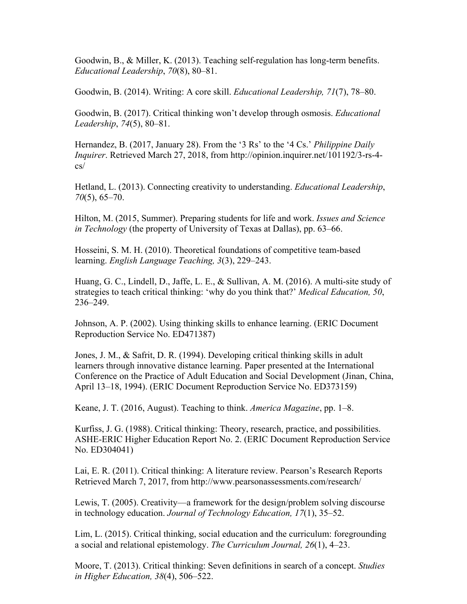Goodwin, B., & Miller, K. (2013). Teaching self-regulation has long-term benefits. *Educational Leadership*, *70*(8), 80–81.

Goodwin, B. (2014). Writing: A core skill. *Educational Leadership, 71*(7), 78–80.

Goodwin, B. (2017). Critical thinking won't develop through osmosis. *Educational Leadership*, *74*(5), 80–81.

Hernandez, B. (2017, January 28). From the '3 Rs' to the '4 Cs.' *Philippine Daily Inquirer*. Retrieved March 27, 2018, from http://opinion.inquirer.net/101192/3-rs-4 cs/

Hetland, L. (2013). Connecting creativity to understanding. *Educational Leadership*, *70*(5), 65–70.

Hilton, M. (2015, Summer). Preparing students for life and work. *Issues and Science in Technology* (the property of University of Texas at Dallas), pp. 63–66.

Hosseini, S. M. H. (2010). Theoretical foundations of competitive team-based learning. *English Language Teaching, 3*(3), 229–243.

Huang, G. C., Lindell, D., Jaffe, L. E., & Sullivan, A. M. (2016). A multi-site study of strategies to teach critical thinking: 'why do you think that?' *Medical Education, 50*, 236–249.

Johnson, A. P. (2002). Using thinking skills to enhance learning. (ERIC Document Reproduction Service No. ED471387)

Jones, J. M., & Safrit, D. R. (1994). Developing critical thinking skills in adult learners through innovative distance learning. Paper presented at the International Conference on the Practice of Adult Education and Social Development (Jinan, China, April 13–18, 1994). (ERIC Document Reproduction Service No. ED373159)

Keane, J. T. (2016, August). Teaching to think. *America Magazine*, pp. 1–8.

Kurfiss, J. G. (1988). Critical thinking: Theory, research, practice, and possibilities. ASHE-ERIC Higher Education Report No. 2. (ERIC Document Reproduction Service No. ED304041)

Lai, E. R. (2011). Critical thinking: A literature review. Pearson's Research Reports Retrieved March 7, 2017, from http://www.pearsonassessments.com/research/

Lewis, T. (2005). Creativity—a framework for the design/problem solving discourse in technology education. *Journal of Technology Education, 17*(1), 35–52.

Lim, L. (2015). Critical thinking, social education and the curriculum: foregrounding a social and relational epistemology. *The Curriculum Journal, 26*(1), 4–23.

Moore, T. (2013). Critical thinking: Seven definitions in search of a concept. *Studies in Higher Education, 38*(4), 506–522.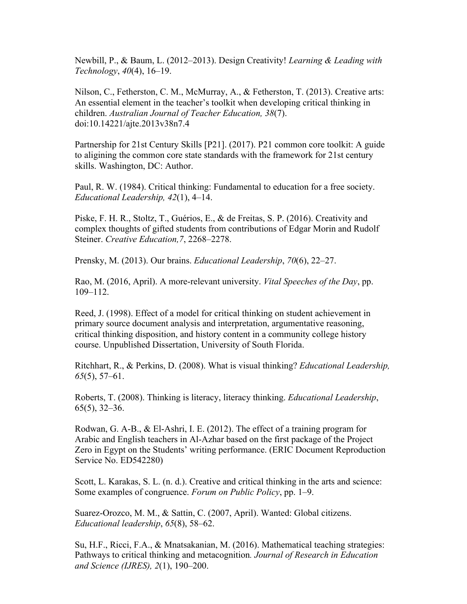Newbill, P., & Baum, L. (2012–2013). Design Creativity! *Learning & Leading with Technology*, *40*(4), 16–19.

Nilson, C., Fetherston, C. M., McMurray, A., & Fetherston, T. (2013). Creative arts: An essential element in the teacher's toolkit when developing critical thinking in children. *Australian Journal of Teacher Education, 38*(7). doi:10.14221/ajte.2013v38n7.4

Partnership for 21st Century Skills [P21]. (2017). P21 common core toolkit: A guide to aligining the common core state standards with the framework for 21st century skills. Washington, DC: Author.

Paul, R. W. (1984). Critical thinking: Fundamental to education for a free society. *Educational Leadership, 42*(1), 4–14.

Piske, F. H. R., Stoltz, T., Guérios, E., & de Freitas, S. P. (2016). Creativity and complex thoughts of gifted students from contributions of Edgar Morin and Rudolf Steiner. *Creative Education,7*, 2268–2278.

Prensky, M. (2013). Our brains. *Educational Leadership*, *70*(6), 22–27.

Rao, M. (2016, April). A more-relevant university. *Vital Speeches of the Day*, pp. 109–112.

Reed, J. (1998). Effect of a model for critical thinking on student achievement in primary source document analysis and interpretation, argumentative reasoning, critical thinking disposition, and history content in a community college history course. Unpublished Dissertation, University of South Florida.

Ritchhart, R., & Perkins, D. (2008). What is visual thinking? *Educational Leadership, 65*(5), 57–61.

Roberts, T. (2008). Thinking is literacy, literacy thinking. *Educational Leadership*, 65(5), 32–36.

Rodwan, G. A-B., & El-Ashri, I. E. (2012). The effect of a training program for Arabic and English teachers in Al-Azhar based on the first package of the Project Zero in Egypt on the Students' writing performance. (ERIC Document Reproduction Service No. ED542280)

Scott, L. Karakas, S. L. (n. d.). Creative and critical thinking in the arts and science: Some examples of congruence. *Forum on Public Policy*, pp. 1–9.

Suarez-Orozco, M. M., & Sattin, C. (2007, April). Wanted: Global citizens. *Educational leadership*, *65*(8), 58–62.

Su, H.F., Ricci, F.A., & Mnatsakanian, M. (2016). Mathematical teaching strategies: Pathways to critical thinking and metacognition*. Journal of Research in Education and Science (IJRES), 2*(1), 190–200.